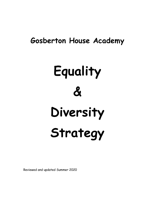## **Gosberton House Academy**

# **Equality & Diversity Strategy**

Reviewed and updated Summer 2020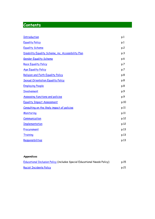### **Contents**

| <b>Introduction</b>                                 | p.1  |
|-----------------------------------------------------|------|
| <b>Equality Policy</b>                              | p.1  |
| <b>Equality Scheme</b>                              | p.2  |
| Disability Equality Scheme, inc. Accessibility Plan | p.3  |
| <b>Gender Equality Scheme</b>                       | p.6  |
| <b>Race Equality Policy</b>                         | p.7  |
| <b>Age Equality Policy</b>                          | p.7  |
| Religion and Faith Equality Policy                  | p.8  |
| <b>Sexual Orientation Equality Policy</b>           | p.8  |
| <b>Employing People</b>                             | p.8  |
| <b>Involvement</b>                                  | p.9  |
| <b>Assessing functions and policies</b>             | p.9  |
| <b>Equality Impact Assessment</b>                   | p.10 |
| Consulting on the likely impact of policies         | p.11 |
| Monitoring                                          | p.11 |
| Communication                                       | p.12 |
| <b>Implementation</b>                               | p.12 |
| Procurement                                         | p.13 |
| Training                                            | p.13 |
| Responsibilities                                    | p.13 |
|                                                     |      |

#### **Appendices**

| Educational Inclusion Policy (includes Special Educational Needs Policy) | p.15 |
|--------------------------------------------------------------------------|------|
| <b>Racist Incidents Policy</b>                                           | p.21 |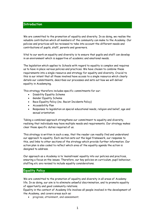#### <span id="page-3-0"></span>**Introduction**

We are committed to the promotion of equality and diversity. In so doing, we realise the valuable contribution which all members of the community can make to the Academy. Our policies and practices will be reviewed to take into account the different needs and contributions of pupils, staff, parents and governors.

Vital to our work on equality and diversity is to ensure that pupils and staff can develop in an environment which is supportive of academic and emotional needs.

The legislation which applies to Schools with regard to equality is complex and requires us to have in place various policies and practices. We have chosen to combine these requirements into a single resource and strategy for equality and diversity. Crucial to this is our intent that all those involved have access to a single resource which clearly details our commitments, describes our processes and sets out how we will deliver equality in Academying.

This strategy therefore includes specific commitments for our:

- Disability Equality Scheme
- Gender Equality Scheme
- Race Equality Policy (inc. Racist Incidents Policy)
- Accessibility Plan
- Responses to legislation on special educational needs, religion and belief, age and sexual orientation

Taking a combined approach strengthens our commitment to equality and diversity, realising that individuals may have multiple needs and requirements. Our strategy makes clear those specific duties required of us.

This strategy is written in such a way, that the reader can readily find and understand our approach to equality. Each section sets out the legal framework, our response to this, and links to other sections of the strategy which provide further information. Our action plan is also coded to reflect which area of the equality agenda the action is designed to address.

Our approach as a Academy is to 'mainstream' equality into our policies and practices, ensuring a focus on the issues. Therefore, our key policies on curriculum, pupil behaviour, staffing etc are revised to include equality considerations.

#### <span id="page-3-1"></span>**Equality Policy**

We are committed to the promotion of equality and diversity in all areas of Academy life. In so doing, our aim is to eliminate unlawful discrimination, and to promote equality of opportunity and good community relations.

Equality in the context of Academy life involves all people involved in the development of the Academy, and covers areas such as:

• progress, attainment, and assessment;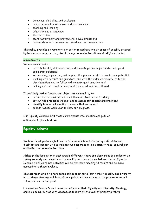- behaviour, discipline, and exclusion;
- pupils' personal development and pastoral care;
- teaching and learning;
- admission and attendance;
- the curriculum;
- staff recruitment and professional development; and
- partnerships with parents and guardians, and communities.

This policy provides a framework for action to address the six areas of equality covered by legislation – race, gender, disability, age, sexual orientation and religion or belief.

#### **Commitments**

We are committed to:

- actively tackling discrimination, and promoting equal opportunities and good community relations;
- encouraging, supporting, and helping all pupils and staff to reach their potential;
- working with parents and guardians, and with the wider community, to tackle discrimination, and to follow and promote good practice; and
- making sure our equality policy and its procedures are followed.

In positively taking forward our objectives on equality, we:

- outline the responsibilities of all those involved in the Academy
- set out the processes we shall use to assess our policies and practices
- identify how we will monitor the work that we do, and
- publish results each year to show our progress.

Our Equality Scheme puts these commitments into practice and puts an action plan in place to do so.

#### <span id="page-4-0"></span>**Equality Scheme**

We have developed a single Equality Scheme which includes our specific duties on disability and gender. It also includes our responses to legislation on race, age, religion and belief, and sexual orientation.

Although the legislation in each area is different, there are clear areas of similarity. In taking seriously our commitment to equality and diversity, we believe that an Equality Scheme which combines activities will deliver more meaningful results and be more accessible to those involved.

This approach which we have taken brings together all our work on equality and diversity into a single strategy which details our policy and commitments, the processes we will follow, and our action plans.

Lincolnshire County Council consulted widely on their Equality and Diversity Strategy, and in so doing, worked with Academies to identify the level of priority given to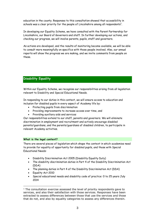education in the county. Responses to this consultation showed that accessibility in schools was a clear priority for the people of Lincolnshire among all respondents $^{\rm 1}.$ 

In developing our Equality Scheme, we have consulted with the Parent Partnership for Lincolnshire, our Board of Governors and staff. In further developing our actions, and checking our progress, we will involve parents, pupils, staff and governors.

As actions are developed, and the results of monitoring become available, we will be able to consult more meaningfully on specifics with those people involved. Also, our annual reports will show the progress we are making, and we invite comments from people on these.

#### <span id="page-5-0"></span>**Disability Equality**

Within our Equality Scheme, we recognise our responsibilities arising from all legislation relevant to Disability and Special Educational Needs.

In responding to our duties in this context, we will ensure access to education and inclusion for disabled pupils in every aspect of Academy life by:

- Protecting pupils from discrimination
- Providing improvements to increase access over time, and
- Providing auxiliary aids and services

Our responsibilities extend to our staff, parents and governors. We will eliminate discrimination in employment and recruitment and actively encourage disabled parents/guardians, and the parents/guardians of disabled children, to participate in relevant Academy activities.

#### **What is the legal context?**

There are several pieces of legislation which shape the context in which academies need to provide for equality of opportunity for disabled pupils, and those with Special Educational Needs:

- Disability Discrimination Act 2005 (Disability Equality Duty)
- The disability discrimination duties in Part 4 of the Disability Discrimination Act (DDA)
- The planning duties in Part 4 of the Disability Discrimination Act (DDA)
- Equality Act 2010

 $\overline{a}$ 

• Special educational needs and disability code of practice: 0 to 25 years July 2014

 $1$  The consultation exercise assessed the level of priority respondents gave to services, and also their satisfaction with those services. Responses have been extracted to assess differences between those that use the services and those that do not, and also by equality categories to assess any differences therein.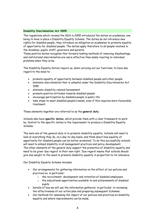#### **Disability Discrimination Act 2005**

The regulations which revised the DDA in 2005 introduced the duties on academies, one being to have in place a Disability Equality Scheme. The duties do not introduce new rights for disabled people, they introduce an obligation on academies to promote equality of opportunity for disabled people. The duties apply therefore to all people involved in the Academy: pupils, staff, governors and parents.

These positive duties recognise that forward-looking methods of removing disadvantage and institutional discrimination are more effective than solely reacting to individual problems when they arise.

The Disability Equality Duties require us, when carrying out our functions, to have due regard to the need to:

- promote equality of opportunity between disabled people and other people
- eliminate discrimination that is unlawful under the Disability Discrimination Act 1995
- eliminate disability related harassment
- promote positive attitudes towards disabled people
- encourage participation by disabled people in public life
- take steps to meet disabled people's needs, even if this requires more favourable treatment.

These elements together are referred to as the **general duty**.

Schools also have **specific duties**, which provide them with a clear framework to work by. Central to the specific duties is the requirement to produce a Disability Equality Scheme.

The main aim of the general duty is to promote disability equality. Schools will need to look at everything they do, on a day-to-day basis, and think about how equality of opportunity for disabled people can be better promoted. To do this successfully schools will need to embed disability in all management practices and policy development. The other elements of the general duty support the promotion of disability equality and need to be given 'due regard' in their own right. 'Due regard' means that schools should give due weight to the need to promote disability equality in proportion to its relevance.

Our Disability Equality Scheme includes:

- Our arrangements for gathering information on the effect of our policies and practices on, in particular:
	- o the recruitment, development and retention of disabled employees
	- o the educational opportunities available to and achievements of disabled pupils.
- Details of how we will use the information gathered, in particular, in reviewing the effectiveness of our action plan and preparing subsequent Schemes.
- Our methods for assessing the impact of our policies and practices on disability equality and where improvements can be made.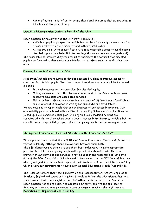• A plan of action - a list of action points that detail the steps that we are going to take to meet the general duty.

#### **Disability Discrimination Duties in Part 4 of the DDA**

Discrimination in the context of the DDA Part 4 occurs if:

- A disabled pupil or prospective pupil is treated less favourably than another for a reason related to their disability and without justification
- A Academy fails, without justification, to take reasonable steps to avoid placing disabled pupils at a substantial disadvantage (known as reasonable adjustment).

The reasonable adjustment duty requires us to anticipate the barriers that disabled pupils may face and to then remove or minimise these before substantial disadvantage occurs.

#### **Planning Duties in Part 4 of the DDA**

Academies/ schools are required to develop accessibility plans to improve access to education for disabled pupils. Over time, these plans show how access will be increased, including:

- Increasing access to the curriculum for disabled pupils;
- Making improvements to the physical environment of the Academy to increase access to education and associated services;
- Making written information accessible in a range of different ways for disabled pupils, where it is provided in writing for pupils who are not disabled.

We are required to report each year on our progress on our accessibility plans. Our accessibility plan is combined with our Disability Equality Scheme and so all actions are joined-up in our combined action plan. In doing this, our accessibility plans are coordinated with the Lincolnshire County Council Accessibility Strategy, which is built on consultation with specialist groups, children and young people, and parents/guardians.

#### **The Special Educational Needs (SEN) duties in the Education Act 1996**

It is important to note that the definition of Special Educational Needs is different to that of Disability, although there are overlaps between them both.

The SEN duties require schools to use their 'best endeavours' to make appropriate provision for children and young people with Special Educational Needs. Thus the provision of auxiliary aids and services in not included in the reasonable adjustments duty of the DDA. In so doing, Schools need to have regard to the SEN Code of Practice which gives guidance on how to interpret duties. We have an Educational Inclusion Policy which covers our commitments to pupils with Special Educational Needs (Appendix 1).

The Disabled Persons (Services, Consultation and Representation) Act 1986 applies to Scotland, England and Wales and requires Schools to inform the education authority if they consider that a pupil might be disabled within the definition of the Disability Discrimination Act and to notify the education authority prior to the pupil leaving Academy with regard to any community care arrangements which she might require. **Definitions of Impairment and Disability**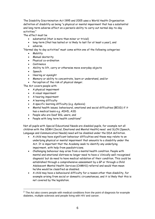The Disability Discrimination Act 1995 and 2005 uses a World Health Organisation definition of disability as being "a physical or mental impairment that has a substantial and long-term adverse affect on a person's ability to carry out normal day-to-day activities."

The effect must be

- substantial (that is more than minor or trivial)
- long-term (that has lasted or is likely to last for at least a year), and • adverse.

"Normal day to day activities" must come within one of the following categories:

- Mobility
- Manual dexterity
- Physical co-ordination
- **Continence**
- Ability to lift, carry or otherwise move everyday objects
- Speech

 $\overline{a}$ 

- Hearing or eyesight
- Memory or ability to concentrate, learn or understand, and/or
- Perception of the risk of physical danger.

The Act covers people with:

- A physical impairment
- A visual impairment
- A hearing impairment
- A learning difficulty
- A specific learning difficulty (e.g. dyslexia)
- Mental health issues; behavioural, emotional and social difficulties (BESD) if it has a medical basis e.g. ADHD, ASD
- People who are Deaf BSL users, and
- People with long term health conditions<sup>2</sup>

Not all pupils with Special Educational Needs are disabled pupils, for example not all children with the SEMH (Social, Emotional and Mental Health) need and SLCN (Speech, Language and Communication Needs) need will be disabled under the DDA definition.

- A child may have significant behaviour difficulties and these may relate to an underlying physical or mental impairment that amounts to a disability under the Act. It is important that the Academy seek to identify any underlying impairment, with help from paediatricians.
- Challenging behaviour may arise from a mental health condition. People with mental and emotional distress no longer need to have a 'clinically well-recognised diagnosis' but do need to have medical validation of their condition. This could be established through a comprehensive assessment by a GP or through a Child Adolescent Mental Health Services (CAMHS) referral and would then mean he/she would be classified as disabled.
- A child may have a behavioural difficulty for a reason other than disability, for example arising from social or domestic circumstances, and it is likely that this is not covered by the legislation.

 $2$  The Act also covers people with medical conditions from the point of diagnosis for example diabetes, multiple sclerosis and people living with HIV and cancer.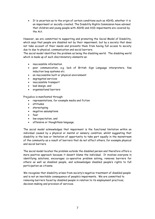• It is uncertain as to the origin of certain conditions such as ADHD, whether it is an impairment or socially created. The Disability Rights Commission have advised that children and young people with ADHD and ASD impairments are covered by the Act.

However, we are committed to supporting and promoting the Social Model of Disability, which says that people are disabled not by their impairment, but by a society that does not take account of their needs and prevents them from having full access to society due to due to physical, communication and social barriers.

The social model identifies the problem as being the disabling world. The disabling world which is made up of such discriminatory elements as:

- inaccessible information
- poor communication, e.g. lack of British Sign Language interpreters, few induction loop systems etc
- an inaccessible built or physical environment
- segregated services
- inaccessible transport
- bad design, and
- organisational barriers

Prejudice is manifested through:

- representations, for example media and fiction
- attitudes
- stereotyping
- negative assumptions
- fear
- low expectation, and
- offensive or thoughtless language.

The social model acknowledges that impairment is the functional limitation within an individual caused by a physical or mental or sensory condition, whilst suggesting that disability is the loss or limitation of opportunity to take part equally in the mainstream of the community as a result of barriers that do not affect others, for example physical and social barriers.

The social model locates the problem outside the disabled person and therefore offers a more positive approach because it doesn't blame the individual. It involves everyone in identifying solutions, encourages co-operative problem solving, removes barriers for others as well as disabled people, and acknowledges disabled people's rights to full participation as citizens.

We recognise that disability arises from society's negative treatment of disabled people and is not an inevitable consequence of people's impairments. We are committed to removing barriers faced by disabled people in relation to its employment practices, decision-making and provision of services.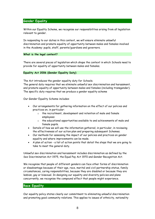#### <span id="page-10-0"></span>**Gender Equality**

Within our Equality Scheme, we recognise our responsibilities arising from all legislation relevant to gender.

In responding to our duties in this context, we will ensure eliminate unlawful discrimination and promote equality of opportunity between males and females involved in the Academy: pupils, staff, parents/guardians and governors.

**What is the legal context?**

There are several pieces of legislation which shape the context in which Schools need to provide for equality of opportunity between males and females.

**Equality Act 2006 (Gender Equality Duty)**

The Act introduces the gender equality duty for Schools.

The general duty requires that we eliminate unlawful sex discrimination and harassment, and promote equality of opportunity between males and females (including transgender). The specific duty requires that we produce a gender equality scheme

Our Gender Equality Scheme includes:

- Our arrangements for gathering information on the effect of our policies and practices on, in particular:
	- o the recruitment, development and retention of male and female employees
	- o the educational opportunities available to and achievements of male and female pupils.
- Details of how we will use the information gathered, in particular, in reviewing the effectiveness of our action plan and preparing subsequent Schemes.
- Our methods for assessing the impact of our policies and practices on gender equality and where improvements can be made.
- A plan of action a list of action points that detail the steps that we are going to take to meet the general duty.

Unlawful sex discrimination and harassment includes discrimination as defined by the Sex Discrimination Act 1975, the Equal Pay Act 1970 and Gender Recognition Act.

We recognise that people of different genders can face other forms of discrimination or disadvantage because of their age, race, marital and civil partnership status, family circumstances, caring responsibilities, because they are disabled or because they are lesbian, gay or bisexual. In designing our equality and diversity policies and plans concurrently, we recognise the compound effect that people might experience.

#### <span id="page-10-1"></span>**Race Equality**

Our equality policy states clearly our commitment to eliminating unlawful discrimination and promoting good community relations. This applies to issues of ethnicity, nationality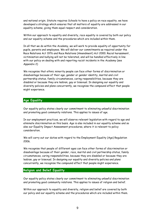and national origin. Statute requires Schools to have a policy on race equality, we have developed a strategy which ensures that all matters of equality are addressed in our equality scheme, giving them equal respect and consideration.

Within our approach to equality and diversity, race equality is covered by both our policy and our equality scheme and the procedures which are included within them.

In all that we do within the Academy, we will work to provide equality of opportunity for pupils, parents and employees. We will deliver our commitments as required under the Race Relations Act 1976 and Race Relations (Amendment) Act 2000. Racial harassment, victimisation and bullying will not be tolerated, and will be handled effectively in line with our policy on dealing with and reporting racist incidents in the Academy (see Appendix 2)

We recognise that ethnic minority people can face other forms of discrimination or disadvantage because of their age, gender or gender identity, marital and civil partnership status, family circumstances, caring responsibilities, because they are disabled or because they are lesbian, gay or bisexual. In designing our equality and diversity policies and plans concurrently, we recognise the compound effect that people might experience.

#### <span id="page-11-0"></span>**Age Equality**

Our equality policy states clearly our commitment to eliminating unlawful discrimination and promoting good community relations. This applies to issues of age.

In our employment practices, we will observe relevant legislation with regard to age and eliminate discrimination on this basis. Age is also included in our equality scheme and so also our Equality Impact Assessment procedures, where it is relevant to policy consideration.

We will carry out our duties with regard to the Employment Equality (Age) Regulation 2006.

We recognise that people of different ages can face other forms of discrimination or disadvantage because of their gender, race, marital and civil partnership status, family circumstances, caring responsibilities, because they are disabled or because they are lesbian, gay or bisexual. In designing our equality and diversity policies and plans concurrently, we recognise the compound effect that people might experience.

#### <span id="page-11-1"></span>**Religion and Belief Equality**

Our equality policy states clearly our commitment to eliminating unlawful discrimination and promoting good community relations. This applies to issues of religion and belief.

Within our approach to equality and diversity, religion and belief are covered by both our policy and our equality scheme and the procedures which are included within them.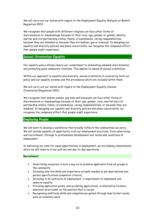We will carry out our duties with regard to the Employment Equality (Religion or Belief) Regulation 2003.

We recognise that people with different religions can face other forms of discrimination or disadvantage because of their race, age, gender or gender identity, marital and civil partnership status, family circumstances, caring responsibilities, because they are disabled or because they are lesbian, gay or bisexual. In designing our equality and diversity policies and plans concurrently, we recognise the compound effect that people might experience.

#### <span id="page-12-0"></span>**Sexual Orientation Equality**

Our equality policy states clearly our commitment to eliminating unlawful discrimination and promoting good community relations. This applies to issues of sexual orientation.

Within our approach to equality and diversity, sexual orientation is covered by both our policy and our equality scheme and the procedures which are included within them.

We will carry out our duties with regard to the Employment Equality (Sexual Orientation) Regulation 2003.

We recognise that lesbian women, gay men and bisexuals can face other forms of discrimination or disadvantage because of their age, gender, race, marital and civil partnership status, family circumstances, caring responsibilities, or because they are disabled. In designing our equality and diversity policies and plans concurrently, we recognise the compound effect that people might experience.

#### <span id="page-12-1"></span>**Employing People**

We will work to develop a workforce that broadly reflects the communities we serve. We will include equality of opportunity in all our employment practices, from advertising and recruitment, through to professional development and terms and conditions of employment.

In delivering our aims for equal opportunities in employment, we are making commitments which we will observe in our policies and day-to-day operations.

#### **Recruitment**

- Advertising vacancies in such a way as to promote applicants from all groups in the community
- Including only the skills and experience actually needed in job descriptions and person specifications (essential criteria)
- Including in all contracts of employment, a requirement to implement and observe equality
- Providing application packs, and accepting applications, in alternative formats wherever practicable to the position that is vacant
- Recognising additional skills and competences gained through less formal routes such as voluntary work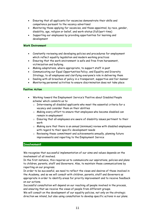- Ensuring that all applicants for vacancies demonstrate their skills and competence pursuant to the vacancy advertised
- Monitoring those applying for vacancies, and those appointed, by race, gender, disability, age, religion or belief, and work-status (full/part-time)
- Supporting our employees by providing opportunities for learning and development

#### **Work Environment**

- Constantly reviewing and developing policies and procedures for employment which reflect equality legislation and modern working practices
- Ensuring that the work environment is safe and free from harassment, victimization and bullying.
- Making adaptations, where appropriate, to support staff in post
- Communicating our Equal Opportunities Policy, and Equality and Diversity Strategy, to all employees and clarifying everyone's role in delivering them
- Dealing with all breaches of policy in a transparent, supportive and fair manner
- Monitoring personnel activities to ensure discrimination does not take place

#### **Positive Action**

- Working toward the Employment Service's 'Positive about Disabled People scheme' which commits us to:
	- o Interviewing all disabled applicants who meet the essential criteria for a vacancy and consider them on their abilities
	- o Making every effort to ensure that employees who become disabled can remain in employment
	- o Ensuring that all employees are aware of disability issues pertinent to their work
	- o Making sure that there is an annual (minimum) review with disabled employees with regard to their specific development needs
	- o Reviewing these commitment and achievements annually, planning future improvements and reporting to the Employment Service

#### <span id="page-13-0"></span>**Involvement**

We recognise that successful implementation of our aims and values depends on the involvement of all involved.

In the first instance, this requires us to communicate our aspirations, policies and plans to children, parents, staff and Governors. Also, to maintain these communications by reporting on our progress.

In order to be successful, we need to reflect the views and desires of those involved in the Academy, and so we will consult with children, parents, staff and Governors as appropriate in order to identify areas for priority improvement and to receive feedback on our actions.

Successful consultation will depend on our reaching *all* people involved in the process, and ensuring that we receive the views of people from different groups.

We will consult on the development of our equality policies, not only on the strategic direction we intend, but also using consultation to develop specific actions in our plans.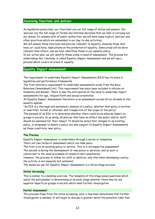#### <span id="page-14-0"></span>**Assessing functions and policies**

As legislation prescribes, our 'functions' are our full range of duties and powers. Our 'policies' are the full range of formal and informal decisions that we take in carrying out our duties. In common with all public authorities, we will have some explicit 'policies' and other practices which are embedded in our day-to-day activities.

We will assess those functions and policies 'relevant' to equality, meaning those that have, or could have, implications on the promotion of equality. Some areas will be more relevant than others, and we have identified these in our equality policy.

In our action plan, we will identify those areas in need of assessment. The process for undertaking this 'checking' is called Equality Impact Assessment and we will use a process which covers all areas of equality.

#### <span id="page-14-1"></span>**Equality Impact Assessment**

The requirement to undertake Equality Impact Assessments (EIA) has its basis in legislation and performance frameworks.

The first statutory requirement to undertake assessments arose from the Race Relations (Amendment) Act. This requirement has since been included in statute on Disability and Gender. There is also the anticipation of the need to undertake impact assessments for age, religion/faith and sexual orientation.

An Equality Impact Assessment therefore is an assessment across all six strands of the equality agenda.

"An EIA is a thorough and systematic analysis of a policy, whether that policy is written or unwritten, formal or informal, and irrespective of the scope of the policy" The purpose of an EIA is to determine whether there could be an adverse impact on groups in society. In so doing, all policies that have an effect the public and/or staff should be assessed for their impact. It should be noted that changes to an existing policy, or proposals to delete a policy are also subject to Equality Impact Assessments as these constitute 'new' policy.

#### **The Process**

Equality Impact Assessment is undertaken through a series of templates. There are two forms of assessment which can take place.

The first is on an *existing* policy or service. This is a retrospective assessment.

The second is during the development of *new* policy or services, and as such is

concurrent to the usual processes of research and consultation.

However, the process to follow for both is identical, only that when developing a policy, the activity is not separate but entwined.

The model we use for Equality Impact Assessment is a three-stage process.

#### **Initial Screening**

This is similar to a desktop exercise. The template at this stage poses questions which assist the policymaker in determining at an early stage whether there may be any negative impacts on groups in society which need further investigation.

#### **Partial Assessment**

This process flows from the initial screening, once it has been determined that further investigation is needed. It will begin to discuss in greater detail the potential risks that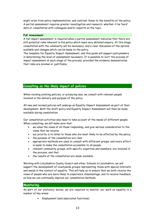might arise from policy implementation, and contrast these to the benefits of the policy. A partial assessment requires greater investigation and research, whether it be 'hard' data or consultation with colleagues and/or experts on the topic.

#### **Full Assessment**

A full impact assessment is required when a partial assessment indicates that there are still potential risks inherent in the policy which need very detailed enquiry. At this stage, consultation with the community will be necessary, and a clear discussion of the options available and changes which can be made to the policy.

The template for Equality Impact Assessment, and this guide will support policymakers in determining the level of assessment necessary. It is possible to 'exit' the process of impact assessment at each stage of the process, provided the evidence demonstrates that risks are minimal or justifiable.

#### <span id="page-15-0"></span>**Consulting on the likely impact of policies**

When revising existing policies, or producing new, we consult with relevant people involved in the delivery and purpose of the policy.

All new and revised policies will undergo an Equality Impact Assessment as part of their development. Both the draft policy and Equality Impact Assessment will then be made available during consultation.

Our consultation activities also need to take account of the needs of different people. When consulting, we will make sure that:

- we value the views of all those responding, and give serious consideration to the views that we receive
- our priority is to listen to those who are most likely to be affected by the policy
- the purpose of the consultation are clear
- appropriate methods are used to consult with different groups, and every effort is made to make the consultation accessible to all people
- relevant community groups, with specific expertise and members, are involved in the process, and that
- the results of the consultation are made available.

Working with Lincolnshire County Council and other Schools in Lincolnshire, we will support the development of countywide groups representing those with special interests and needs in the context of equality. This will help us to ensure that we both receive the views of people who are more likely to experience disadvantage, and to receive feedback on how we can continually improve our consultation methods.

#### <span id="page-15-1"></span>**Monitoring**

As part of our statutory duties, we are required to monitor our work on equality in a number of key areas:

• Employment (and associated functions)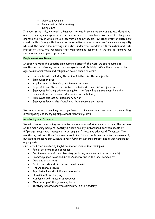- Service provision
- Policy and decision-making
- Complaints

In order to do this, we need to improve the way in which we collect and use data about our customers, employees, contractors and elected members. We need to change and improve the way in which we use information about people – whether staff or customers - and do this in ways that allow us to sensitively monitor our performance on equality while at the same time meeting our duties under the Freedom of Information and Data Protection Acts. We recognise that monitoring is essential if we are to improve our services and employment practices.

#### **Employment Monitoring**

In order to meet the specific employment duties of the Acts, we are required to monitor in the following areas, by race, gender and disability. We will also monitor by age, sexual orientation and religion or belief where relevant:

- Job applicants, including those short-listed and those appointed
- Employees in post
- Applications for training, and training received
- Appraisals and those who suffer a detriment as a result of appraisal
- Employees bringing grievances against the Council as an employer, including complaints of harassment, discrimination or bullying
- Employees subject to disciplinary action
- Employees leaving the Council and their reasons for leaving

We are currently working with partners to improve our systems for collecting, interrogating and managing employment monitoring data.

#### **Monitoring our Services**

We will develop monitoring systems for various areas of Academy activities. The purpose of the monitoring being to identify if there are any differences between people of different groups, and therefore to determine if these are adverse differences. The monitoring data will therefore enable us to identify not only any areas for improvement, but also to measure our success in rectifying any adverse impact, and to set targets as appropriate.

Such areas that monitoring might be needed include (for example):

- Pupils' attainment and progress
- Curriculum, teaching and learning (including language and cultural needs)
- Promoting good relations in the Academy and in the local community
- Care and assessment
- Staff recruitment and career development
- The Academy's values
- Pupil behaviour, discipline and exclusion
- Harassment and bullying
- Admission and transfer procedures
- Membership of the governing body
- Involving parents and the community in the Academy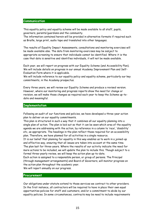#### <span id="page-17-0"></span>**Communication**

This equality policy and equality scheme will be made available to all staff, pupils, governors, parents/guardians and the community.

The information contained herein will be provided in alternative formats if required such as Braille, large print, audio tape and translated into other languages.

The results of Equality Impact Assessments, consultations and monitoring exercises will be made available also. The data from monitoring exercises may be subject to appropriate screening to ensure that individuals cannot be identified. Where it is the case that data is sensitive and identifies individuals, it will not be made available.

Each year, we will report on progress with our Equality Scheme (and Accessibility Plan). We will include details on progress in our annual Academy Improvement Plan and Self-Evaluation Form where it is applicable.

We will include reference to our equality policy and equality scheme, particularly our key commitments, in the Academy prospectus.

Every three years, we will review our Equality Scheme and produce a revised version. However, where our monitoring and progress reports show the need for change or revision, we will make those changes as required each year to keep the Scheme up-todate and meaningful.

#### <span id="page-17-1"></span>**Implementation**

Following an audit of our functions and policies, we have developed a three-year action plan to deliver on our equality commitments.

This plan is structured in such a way that it combines all our equality planning into a single plan of action. The plan is laid out so that it can be seen which area of the equality agenda we are addressing with the action, by reference in a column to 'race', 'disability' etc, as appropriate. The headings in the plan reflect those required for an accessibility plan. Therefore, we have planned for all activities in a single resource.

It is our belief that planning for equality in this way enables us to work in a joined-up and effective way, ensuring that all issues are taken into account at the same time. The plan last for three-years. Where the results of our activity indicate the need for more actions to be included, we will update the plan to include this. Though subject to a formal three-yearly review, we will keep the action plan up-to-date.

Each action is assigned to a responsible person, or group of persons. The Principal (through management arrangements) and Board of Governors, will monitor progress on the action plan throughout the academic year.

<span id="page-17-2"></span>We will report annually on our progress.

#### **Procurement**

Our obligations under statute extend to those services we contract to other providers. In the first instance, all contractors will be required to have in place their own equal opportunities policies for staff and customers, and/or a commitment to abide by our equality policies. In some circumstances, contracts may be need to include requirements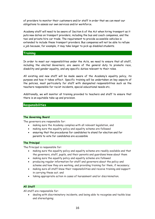of providers to monitor their customers and/or staff in order that we can meet our obligations to assess our own services and/or workforce.

Academy staff will need to be aware of Section 6 of the Act when hiring transport as it puts new duties on transport providers, including the bus and coach companies, and the taxi and private hire car trade. The requirement to provide accessible vehicles is extended to include these transport providers. Bus companies will not be able to refuse a job because, for example, it may take longer to pick up disabled students.

#### <span id="page-18-0"></span>**Training**

In order to meet our responsibilities under the Acts, we need to ensure that all staff, including the elected Governors, are aware of the general duty to promote race, disability and gender equality, and any specific duties relevant to their roles.

All existing and new staff will be made aware of the Academy's equality policy, its purpose and how it takes effect. Specific training will be undertaken on key aspects of the policies, most particularly for staff with designated responsibilities such as the teachers responsible for racist incidents, special educational needs etc.

Additionally, we will monitor all training provided to teachers and staff to ensure that there is an equitable take-up and provision.

#### <span id="page-18-1"></span>**Responsibilities**

#### **The Governing Board**

The governors are responsible for:

- making sure the Academy complies with all relevant legislation, and
- making sure the equality policy and equality scheme are followed
- ensuring that the procedures for candidates to stand for election and for parents to vote for candidates are accessible

#### **The Principal**

The Principal is responsible for:

- making sure the equality policy and equality scheme are readily available and that the governors, staff, pupils, and their parents and guardians know about them
- making sure the equality policy and equality scheme are followed
- producing regular information for staff and governors about the policy and scheme and how they are working, and providing training for them, if necessary;
- making sure all staff know their responsibilities and receive training and support in carrying these out; and
- taking appropriate action in cases of harassment and/or discrimination.

#### **All Staff**

All staff are responsible for:

• dealing with discriminatory incidents, and being able to recognise and tackle bias and stereotyping;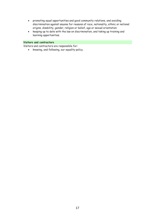- promoting equal opportunities and good community relations, and avoiding discrimination against anyone for reasons of race, nationality, ethnic or national origins, disability, gender, religion or belief, age or sexual orientation
- keeping up to date with the law on discrimination, and taking up training and learning opportunities.

#### **Visitors and contractors**

Visitors and contractors are responsible for:

• knowing, and following, our equality policy.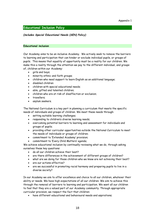#### <span id="page-20-0"></span>**Educational Inclusion Policy**

#### *(includes Special Educational Needs (SEN) Policy)*

#### **Educational inclusion**

Our Academy aims to be an inclusive Academy. We actively seek to remove the barriers to learning and participation that can hinder or exclude individual pupils, or groups of pupils. This means that equality of opportunity must be a reality for our children. We make this a reality through the attention we pay to the different individual, and groups of, children within our Academy:

- girls and boys;
- minority ethnic and faith groups;
- children who need support to learn English as an additional language;
- disabled children
- children with special educational needs;
- able, gifted and talented children;
- children who are at risk of disaffection or exclusion;
- travellers;
- asylum seekers.

The National Curriculum is a key part in planning a curriculum that meets the specific needs of individuals and groups of children. We meet these needs through:

- setting suitable learning challenges;
- responding to children's diverse learning needs;
- overcoming potential barriers to learning and assessment for individuals and groups of pupils;
- providing other curricular opportunities outside the National Curriculum to meet the needs of individuals or groups of children;
- commitment to 'Extended Academy' provision;
- commitment to 'Every Child Matters' agenda;

We achieve educational inclusion by continually reviewing what we do, through asking ourselves these key questions:

- do all our children achieve their best?
- are there differences in the achievement of different groups of children?
- what are we doing for those children who we know are not achieving their best?
- are our actions effective?
- are we successful in promoting racial harmony and preparing pupils to live in a diverse society?

In our Academy we aim to offer excellence and choice to all our children, whatever their ability or needs. We have high expectations of all our children. We aim to achieve this through the removal of barriers to learning and participation. We want all our children to feel that they are a valued part of our Academy community. Through appropriate curricular provision, we respect the fact that children:

• have different educational and behavioural needs and aspirations;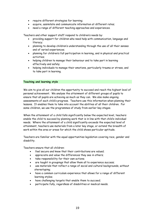- require different strategies for learning;
- acquire, assimilate and communicate information at different rates;
- need a range of different teaching approaches and experiences.

Teachers and other support staff respond to children's needs by:

- providing support for children who need help with communication, language and literacy;
- planning to develop children's understanding through the use of all their senses and of varied experiences;
- planning for children's full participation in learning, and in physical and practical activities;
- helping children to manage their behaviour and to take part in learning effectively and safely;
- helping individuals to manage their emotions, particularly trauma or stress, and to take part in learning.

#### **Teaching and learning style**

We aim to give all our children the opportunity to succeed and reach the highest level of personal achievement. We analyse the attainment of different groups of pupils to ensure that all pupils are achieving as much as they can. We also make ongoing assessments of each child's progress. Teachers use this information when planning their lessons. It enables them to take into account the abilities of all their children. For some children, we use the programmes of study from earlier key stages.

When the attainment of a child falls significantly below the expected level, teachers enable the child to succeed by planning work that is in line with that child's individual needs. Where the attainment of a child significantly exceeds the expected level of attainment, teachers use materials from a later key stage, or extend the breadth of work within the area or areas for which the child shows particular aptitude.

Teachers are familiar with the equal opportunities legislation covering race, gender and disability.

Teachers ensure that all children:

- feel secure and know that their contributions are valued;
- appreciate and value the differences they see in others;
- take responsibility for their own actions;
- are taught in groupings that allow them all to experience success;
- use materials that reflect a range of social and cultural backgrounds, without stereotyping;
- have a common curriculum experience that allows for a range of different learning styles;
- have challenging targets that enable them to succeed;
- participate fully, regardless of disabilities or medical needs.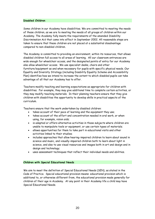#### **Disabled Children**

Some children in our Academy have disabilities. We are committed to meeting the needs of these children, as we are to meeting the needs of all groups of children within our Academy. The Academy fully meets the requirements of the amended *Disability Discrimination Act* that came into effect in September 2002. All reasonable steps are taken to ensure that these children are not placed at a substantial disadvantage compared to non-disabled children.

The Academy is committed to providing an environment, within its resources, that allows disabled children full access to all areas of learning. All our classroom entrances are wide enough for wheelchair access, and the designated points of entry for our Academy also allow wheelchair access. We use specialist desks, chairs and other furniture/equipment as and when necessary for pupils with specific physical needs. Our Equality and Diversity Strategy (including Disability Equality Scheme and Accessibility Plan) identifies how we intend to increase the extent to which disabled pupils can take advantage of all that our Academy has to offer.

Teachers modify teaching and learning expectations as appropriate for children with disabilities. For example, they may give additional time to complete certain activities, or they may modify teaching materials. In their planning teachers ensure that they give children with disabilities the opportunity to develop skills in practical aspects of the curriculum.

Teachers ensure that the work undertaken by disabled children:

- takes account of their pace of learning and the equipment they use;
- takes account of the effort and concentration needed in oral work, or when using, for example, vision aids;
- is adapted or offers alternative activities in those subjects where children are unable to manipulate tools or equipment, or use certain types of materials;
- allows opportunities for them to take part in educational visits and other activities linked to their studies;
- includes approaches that allow hearing-impaired children to learn about sound in science and music, and visually-impaired children both to learn about light in science, and also to use visual resources and images both in art and design and in design and technology;
- uses assessment techniques that reflect their individual needs and abilities.

#### **Children with Special Educational Needs**

We aim to meet the definition of Special Educational Needs (SEN), as stated in the Code of Practice. Special educational provision means: educational provision which is additional to, or otherwise different from, the educational provision made generally for children of their age in Academy. At any point in their Academy life a child may have Special Educational Needs.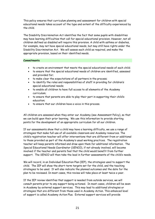This policy ensures that curriculum planning and assessment for children with special educational needs takes account of the type and extent of the difficulty experienced by the child.

The Disability Discrimination Act identifies the fact that some pupils with disabilities may have learning difficulties that call for special educational provision. However, not all children defined as disabled will require this provision. A child with asthma or diabetes, for example, may not have special educational needs, but may still have rights under the Disability Discrimination Act. We will assess each child as required, and make the appropriate provision, based on their identified needs.

#### **Commitments**

- to create an environment that meets the special educational needs of each child;
- to ensure that the special educational needs of children are identified, assessed and provided for;
- to make clear the expectations of all partners in the process;
- to identify the roles and responsibilities of staff in providing for children's special educational needs;
- to enable all children to have full access to all elements of the Academy curriculum;
- to ensure that parents are able to play their part in supporting their child's education;
- to ensure that our children have a voice in this process.

All children are assessed when they enter our Academy (see Assessment Policy), so that we can build upon their prior learning. We use this information to provide starting points for the development of an appropriate curriculum for all our children.

If our assessments show that a child may have a learning difficulty, we use a range of strategies that make full use of all available classroom and Academy resources. The child's registration teacher will offer interventions that are different from or additional to those provided as part of the Academy's usual working practices. The registration teacher will keep parents informed and draw upon them for additional information. The Special Educational Needs Coordinator (SENCO), if not already involved, will become involved if the teacher and parents feel that the child would benefit from further support. The SENCO will then take the lead in further assessments of the child's needs.

We will record, in an Individual Education Plan (IEP), the strategies used to support the child. The IEP will show the short-term targets set for the child, and the teaching strategies to be used. It will also indicate the planned outcomes and the date for the plan to be reviewed. In most cases, this review will take place at least twice a year.

If the IEP review identifies that support is needed from outside services, we will consult parents prior to any support being actioned. In most cases, children will be seen in Academy by external support services. This may lead to additional strategies or strategies that are different from those used in Academy Action. This enhanced level of support is called Academy Action Plus. External support services will provide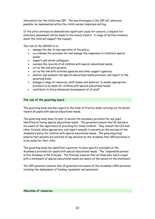information for the child's new IEP. The new strategies in the IEP will, wherever possible, be implemented within the child's normal classroom setting.

If the child continues to demonstrate significant cause for concern, a request for statutory assessment will be made to the County Council. A range of written evidence about the child will support the request.

The role of the SENCO is to:

- manage the day-to-day operation of the policy;
- co-ordinate the provision for and manage the responses to children's special needs;
- support and advise colleagues;
- oversee the records of all children with special educational needs;
- act as the link with parents;
- act as the link with external agencies and other support agencies;
- monitor and evaluate the special educational needs provision, and report to the governing body;
- manage a range of resources, both human and material, to enable appropriate provision to be made for children with special educational needs;
- contribute to the professional development of all staff.

#### **The role of the governing board**

The governing body has due regard to the Code of Practice when carrying out its duties toward all pupils with special educational needs.

The governing body does its best to secure the necessary provision for any pupil identified as having special educational needs. The governors ensure that all teachers are aware of the importance of providing for these children. They consult the LEA and other Schools, when appropriate, and report annually to parents on the success of the Academy's policy for children with special educational needs. The governing body ensures that parents are notified of any decision by the Academy that SEN provision is to be made for their child.

The governing body has identified a governor to have specific oversight of the Academy's provision for pupils with special educational needs. The 'responsible person' in this Academy is the Principal. The Principal ensures that all those who teach a pupil with a statement of special educational needs are aware of the nature of the statement.

The SEN governor ensures that all governors are aware of the Academy's SEN provision, including the deployment of funding, equipment and personnel.

#### **Allocation of resources**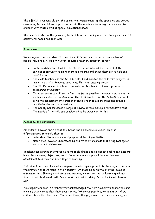The SENCO is responsible for the operational management of the specified and agreed resourcing for special needs provision within the Academy, including the provision for children with statements of special educational needs.

The Principal informs the governing body of how the funding allocated to support special educational needs has been used.

#### **Assessment**

We recognise that the identification of a child's need can be made by a number of people including G.P., Health Visitor, previous teacher/educator, parent.

- Early identification is vital. The class teacher informs the parents at the earliest opportunity to alert them to concerns and enlist their active help and participation.
- The class teacher and the SENCO assess and monitor the children's progress in line with existing Academy practices. This is an ongoing process.
- The SENCO works closely with parents and teachers to plan an appropriate programme of support.
- The assessment of children reflects as far as possible their participation in the whole curriculum of the Academy. The class teacher and the SENCO can break down the assessment into smaller steps in order to aid progress and provide detailed and accurate indicators.
- The County Council seeks a range of advice before making a formal statement. The needs of the child are considered to be paramount in this.

#### **Access to the curriculum**

All children have an entitlement to a broad and balanced curriculum, which is differentiated to enable them to:

- understand the relevance and purpose of learning activities;
- experience levels of understanding and rates of progress that bring feelings of success and achievement.

Teachers use a range of strategies to meet children's special educational needs. Lessons have clear learning objectives; we differentiate work appropriately, and we use assessment to inform the next stage of learning.

Individual Education Plans, which employ a small-steps approach, feature significantly in the provision that we make in the Academy. By breaking down the existing levels of attainment into finely graded steps and targets, we ensure that children experience success. All children at both Academy Action and Academy Action Plus levels have an IEP.

We support children in a manner that acknowledges their entitlement to share the same learning experiences that their peers enjoy. Wherever possible, we do not withdraw children from the classroom. There are times, though, when to maximise learning, we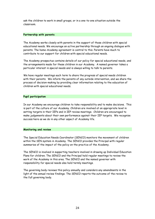ask the children to work in small groups, or in a one-to-one situation outside the classroom.

#### **Partnership with parents**

The Academy works closely with parents in the support of those children with special educational needs. We encourage an active partnership through an ongoing dialogue with parents. The home-Academy agreement is central to this. Parents have much to contribute to our support for children with special educational needs.

The Academy prospectus contains details of our policy for special educational needs, and the arrangements made for these children in our Academy. A named governor takes a particular interest in special needs and is always willing to talk to parents.

We have regular meetings each term to share the progress of special needs children with their parents. We inform the parents of any outside intervention, and we share the process of decision-making by providing clear information relating to the education of children with special educational needs.

#### **Pupil participation**

In our Academy we encourage children to take responsibility and to make decisions. This is part of the culture of our Academy. Children are involved at an appropriate level in setting targets in their IEPs and in IEP review meetings. Children are encouraged to make judgements about their own performance against their IEP targets. We recognise success here as we do in any other aspect of Academy life.

#### **Monitoring and review**

The Special Education Needs Coordinator (SENCO) monitors the movement of children within the SEN system in Academy. The SENCO provides the Principal with regular summaries of the impact of the policy on the practice of the Academy.

The SENCO is involved in supporting teachers involved in drawing up Individual Education Plans for children. The SENCO and the Principal hold regular meetings to review the work of the Academy in this area. The SENCO and the named governor with responsibility for special needs also hold termly meetings.

The governing body reviews this policy annually and considers any amendments in the light of the annual review findings. The SENCO reports the outcome of the review to the full governing body.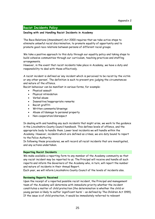#### <span id="page-27-0"></span>**Racist Incidents Policy**

#### **Dealing with and Handling Racist Incidents in Academy**

The Race Relations (Amendment) Act 2000 requires that we take active steps to eliminate unlawful racial discrimination, to promote equality of opportunity and to promote good race relations between persons of different racial groups.

We take a positive approach to this duty through our equality policy and taking steps to build cohesive communities through our curriculum, teaching practices and staffing arrangements.

However, in the event that racist incidents take place in Academy, we have a duty and responsibility to deal with these effectively.

A racist incident is defined as 'any incident which is perceived to be racist by the victim or any other person'. The definition is such to prevent pre-judging the circumstances and nature of the offence.

Racist behaviour can be manifest in various forms, for example:

- Physical assault
	- Physical intimidation
- Verbal abuse
- Insensitive/inappropriate remarks
- Racist graffiti
- Written comments/drawings
- Abuse of/damage to personal property
- Non-cooperation/disrespect

In dealing with and handling any such incidents that might arise, we work to the guidance in the Lincolnshire County Council handbook. This defines levels of offence, and the appropriate body to handle them. Lower level incidents we will handle within the Academy. However, incidents which are defined as crimes, we are duty bound to report to the Police Authority.

In following these procedures, we will record *all* racist incidents that are investigated, and any actions undertaken.

#### **Reporting Racist Incidents**

We make available a reporting form to any member of the Academy community so that any racist incident may be reported to us. The Principal will receive and handle all such reports and inform the Governors of the Academy who, in turn, will report the number and nature of incidents in their Annual Report.

Each year, we will inform Lincolnshire County Council of the levels of incidents also.

#### **Reviewing Reports Received**

Upon the receipt of a reported possible racist incident, the Principal and management team of the Academy will determine with immediate priority whether the incident constitutes a matter of child protection (the determination is whether the child or young person is likely to suffer 'significant harm' – as defined by The Children Act 1999). If the issue is of child protection, it would be immediately referred to relevant